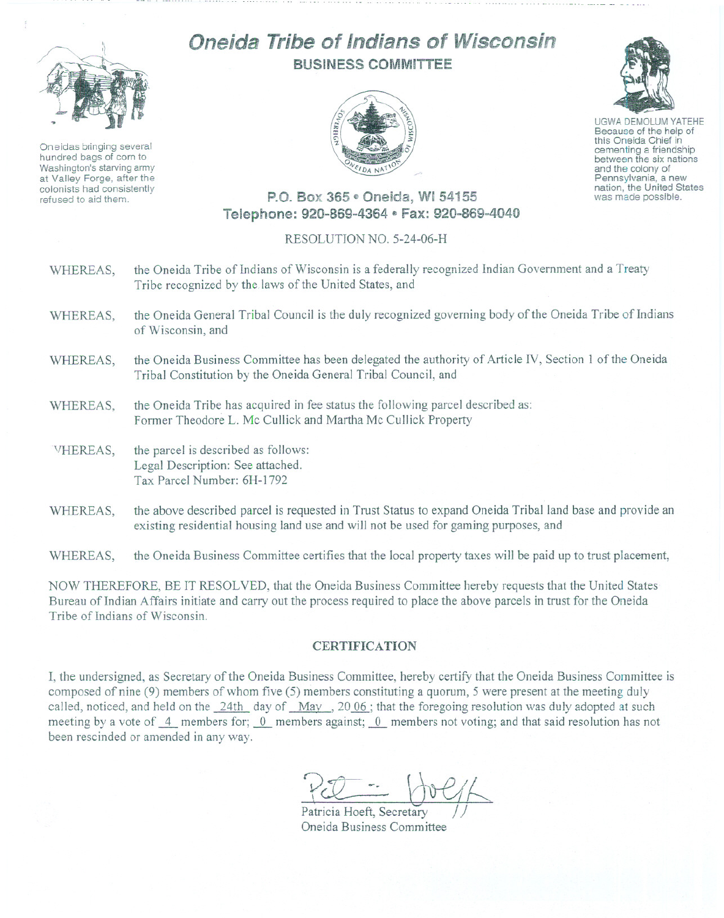

Oneidas bringing several hundred bags of corn to Washington's starving army at Valley Forge, after the colonists had consistently refused to aid them.

## Oneida **Tribe** of Indians of Wisconsin BUSINESS COMMITTEE



UGWA DEMOLUM YATEHE Because of the help of this Oneida Chief in<br>cementing a friendship between the six nations and the colony of<br>Pennsylvania, a new nation, the United States was made possible.

## P.O. Box 365 ~ Oneida, WI 54155 Telephone: 920-869-4364 · Fax: 920-869-4040

## RESOLUTION NO. 5-24-06-H

- WHEREAS, the Oneida Tribe of Indians of Wisconsin is a federally recognized Indian Government and a Treaty Tribe recognized by the laws of the United States, and
- WHEREAS, the Oneida General Tribal Council is the duly recognized governing body of the Oneida Tribe of Indians of Wisconsin, and
- WHEREAS, the Oneida Business Committee has been delegated the authority of Article IV, Section 1 of the Oneida Tribal Constitution by the Oneida General Tribal Council, and
- WHEREAS, the Oneida Tribe has acquired in fee status the following parcel described as: Former Theodore L. Me Cullick and Martha Me Cullick Property
- VHEREAS, the parcel is described as follows: Legal Description: See attached. Tax Parcel Number: 6H-1792
- WHEREAS, the above described parcel is requested in Trust Status to expand Oneida Tribal land base and provide an existing residential housing land use and will not be used for gaming purposes, and

WHEREAS, the Oneida Business Committee certifies that the local property taxes will be paid up to trust placement,

NOW THEREFORE, BE IT RESOLVED, that the Oneida Business Committee hereby requests that the United States Bureau of Indian Affairs initiate and carry out the process required to place the above parcels in trust for the Oneida Tribe of Indians of Wisconsin.

## **CERTIFICATION**

I, the undersigned, as Secretary of the Oneida Business Committee, hereby certify that the Oneida Business Committee is composed of nine (9) members of whom five (5) members constituting a quorum, 5 were present at the meeting duly called, noticed, and held on the 24th day of May, 2006; that the foregoing resolution was duly adopted at such meeting by a vote of  $\frac{4}{5}$  members for;  $\frac{0}{5}$  members against;  $\frac{0}{5}$  members not voting; and that said resolution has not been rescinded or amended in any way.

 $Patricia Hoeft, Secretary$ Oneida Business Committee